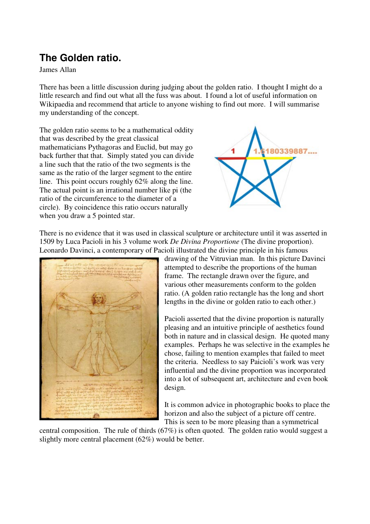## **The Golden ratio.**

James Allan

There has been a little discussion during judging about the golden ratio. I thought I might do a little research and find out what all the fuss was about. I found a lot of useful information on Wikipaedia and recommend that article to anyone wishing to find out more. I will summarise my understanding of the concept.

The golden ratio seems to be a mathematical oddity that was described by the great classical mathematicians Pythagoras and Euclid, but may go back further that that. Simply stated you can divide a line such that the ratio of the two segments is the same as the ratio of the larger segment to the entire line. This point occurs roughly 62% along the line. The actual point is an irrational number like pi (the ratio of the circumference to the diameter of a circle). By coincidence this ratio occurs naturally when you draw a 5 pointed star.



There is no evidence that it was used in classical sculpture or architecture until it was asserted in 1509 by Luca Pacioli in his 3 volume work *De Divina Proportione* (The divine proportion). Leonardo Davinci, a contemporary of Pacioli illustrated the divine principle in his famous



drawing of the Vitruvian man. In this picture Davinci attempted to describe the proportions of the human frame. The rectangle drawn over the figure, and various other measurements conform to the golden ratio. (A golden ratio rectangle has the long and short lengths in the divine or golden ratio to each other.)

Pacioli asserted that the divine proportion is naturally pleasing and an intuitive principle of aesthetics found both in nature and in classical design. He quoted many examples. Perhaps he was selective in the examples he chose, failing to mention examples that failed to meet the criteria. Needless to say Paicioli's work was very influential and the divine proportion was incorporated into a lot of subsequent art, architecture and even book design.

It is common advice in photographic books to place the horizon and also the subject of a picture off centre. This is seen to be more pleasing than a symmetrical

central composition. The rule of thirds (67%) is often quoted. The golden ratio would suggest a slightly more central placement (62%) would be better.